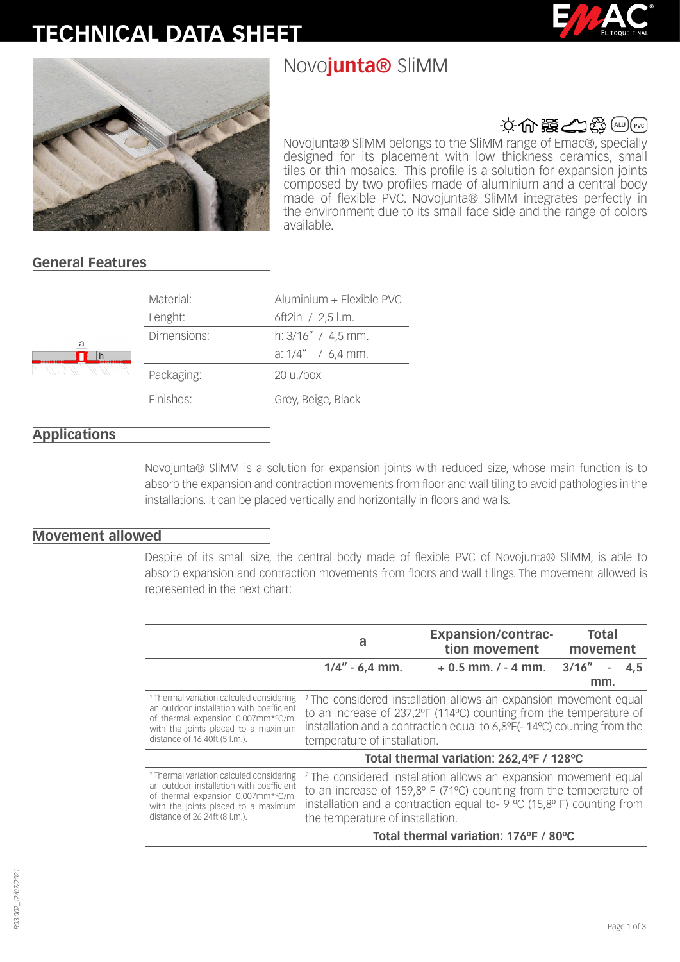# **TECHNICAL DATA SHEET**







# 文命器全楼画图

Novojunta® SliMM belongs to the SliMM range of Emac®, specially designed for its placement with low thickness ceramics, small tiles or thin mosaics. This profile is a solution for expansion joints composed by two profiles made of aluminium and a central body made of flexible PVC. Novojunta® SliMM integrates perfectly in the environment due to its small face side and the range of colors available.

## **General Features**

|  | Material:   | Aluminium + Flexible PVC    |
|--|-------------|-----------------------------|
|  | Lenght:     | 6ft2in / $2,5$ l.m.         |
|  | Dimensions: | h: $3/16''$ / 4,5 mm.       |
|  |             | a: $1/4''$ / 6,4 mm.        |
|  | Packaging:  | $20 \frac{\mu}{\text{box}}$ |
|  | Finishes:   | Grey, Beige, Black          |

#### **Applications**

Novojunta® SliMM is a solution for expansion joints with reduced size, whose main function is to absorb the expansion and contraction movements from floor and wall tiling to avoid pathologies in the installations. It can be placed vertically and horizontally in floors and walls.

#### **Movement allowed**

Despite of its small size, the central body made of flexible PVC of Novojunta® SliMM, is able to absorb expansion and contraction movements from floors and wall tilings. The movement allowed is represented in the next chart:

|                                                                                                                                                                                                               | a                                                                                                                                                                                                                                                                                  | <b>Expansion/contrac-</b><br>tion movement | <b>Total</b><br>movement |
|---------------------------------------------------------------------------------------------------------------------------------------------------------------------------------------------------------------|------------------------------------------------------------------------------------------------------------------------------------------------------------------------------------------------------------------------------------------------------------------------------------|--------------------------------------------|--------------------------|
|                                                                                                                                                                                                               | $1/4'' - 6.4$ mm.                                                                                                                                                                                                                                                                  | $+0.5$ mm. $/ -4$ mm. $3/16''$             | 4.5<br>mm.               |
| <sup>1</sup> Thermal variation calculed considering<br>an outdoor installation with coefficient<br>of thermal expansion 0.007mm*°C/m.<br>with the joints placed to a maximum<br>distance of 16.40ft (5 l.m.). | <sup>1</sup> The considered installation allows an expansion movement equal<br>to an increase of 237,2ºF (114°C) counting from the temperature of<br>installation and a contraction equal to 6,8°F(-14°C) counting from the<br>temperature of installation.                        |                                            |                          |
|                                                                                                                                                                                                               |                                                                                                                                                                                                                                                                                    | Total thermal variation: 262,4°F / 128°C   |                          |
| <sup>2</sup> Thermal variation calculed considering<br>an outdoor installation with coefficient<br>of thermal expansion 0.007mm*°C/m.<br>with the joints placed to a maximum<br>distance of 26.24ft (8 l.m.). | <sup>2</sup> The considered installation allows an expansion movement equal<br>to an increase of $159,8^{\circ}$ F (71 $^{\circ}$ C) counting from the temperature of<br>installation and a contraction equal to- 9 °C (15,8° F) counting from<br>the temperature of installation. |                                            |                          |
|                                                                                                                                                                                                               |                                                                                                                                                                                                                                                                                    | Total thermal variation: 176°F / 80°C      |                          |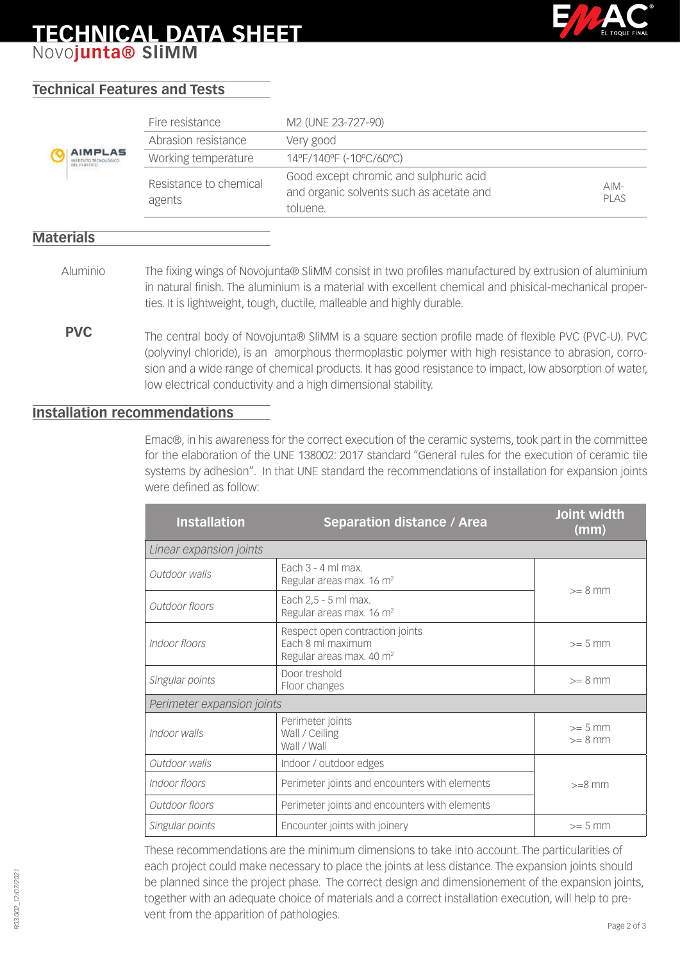# **TECHNICAL DATA SHEET** Novo**junta® SliMM**



# **Technical Features and Tests**

|                                                                | Fire resistance                  | M2 (UNE 23-727-90)                                                                             |                 |
|----------------------------------------------------------------|----------------------------------|------------------------------------------------------------------------------------------------|-----------------|
|                                                                | Abrasion resistance              | Very good                                                                                      |                 |
| <b>AIMPLAS</b><br>INSTITUTO TECNOLÓGICO<br><b>DEL PLASTICO</b> | Working temperature              | 14°F/140°F (-10°C/60°C)                                                                        |                 |
|                                                                | Resistance to chemical<br>agents | Good except chromic and sulphuric acid<br>and organic solvents such as acetate and<br>toluene. | $AIM-$<br>PI AS |

#### **Materials**

- The fixing wings of Novojunta® SliMM consist in two profiles manufactured by extrusion of aluminium in natural finish. The aluminium is a material with excellent chemical and phisical-mechanical properties. It is lightweight, tough, ductile, malleable and highly durable. Aluminio
- **PVC** The central body of Novojunta® SliMM is a square section profile made of flexible PVC (PVC-U). PVC (polyvinyl chloride), is an amorphous thermoplastic polymer with high resistance to abrasion, corrosion and a wide range of chemical products. It has good resistance to impact, low absorption of water, low electrical conductivity and a high dimensional stability.

#### **Installation recommendations**

Emac®, in his awareness for the correct execution of the ceramic systems, took part in the committee for the elaboration of the UNE 138002: 2017 standard "General rules for the execution of ceramic tile systems by adhesion". In that UNE standard the recommendations of installation for expansion joints were defined as follow:

| <b>Installation</b>        | <b>Separation distance / Area</b>                                                            | Joint width<br>(mm)    |  |  |  |
|----------------------------|----------------------------------------------------------------------------------------------|------------------------|--|--|--|
| Linear expansion joints    |                                                                                              |                        |  |  |  |
| Outdoor walls              | Fach $3 - 4$ ml max.<br>Regular areas max. 16 m <sup>2</sup>                                 | $>= 8$ mm              |  |  |  |
| Outdoor floors             | Each 2,5 - 5 ml max.<br>Regular areas max. 16 m <sup>2</sup>                                 |                        |  |  |  |
| Indoor floors              | Respect open contraction joints<br>Each 8 ml maximum<br>Regular areas max. 40 m <sup>2</sup> | $>= 5$ mm              |  |  |  |
| Singular points            | Door treshold<br>Floor changes                                                               | $>= 8$ mm              |  |  |  |
| Perimeter expansion joints |                                                                                              |                        |  |  |  |
| Indoor walls               | Perimeter joints<br>Wall / Ceiling<br>Wall / Wall                                            | $>= 5$ mm<br>$>= 8$ mm |  |  |  |
| Outdoor walls              | Indoor / outdoor edges                                                                       |                        |  |  |  |
| Indoor floors              | Perimeter joints and encounters with elements                                                | $>=8$ mm               |  |  |  |
| Outdoor floors             | Perimeter joints and encounters with elements                                                |                        |  |  |  |
| Singular points            | Encounter joints with joinery                                                                | $>= 5$ mm              |  |  |  |

These recommendations are the minimum dimensions to take into account. The particularities of each project could make necessary to place the joints at less distance. The expansion joints should be planned since the project phase. The correct design and dimensionement of the expansion joints, together with an adequate choice of materials and a correct installation execution, will help to prevent from the apparition of pathologies.